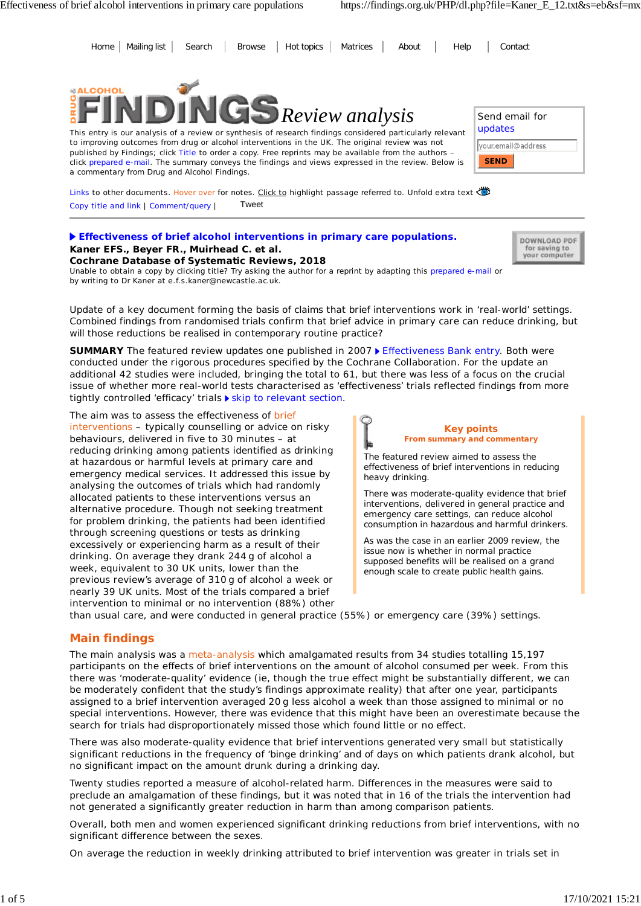Home Mailing list Search Browse Hot topics Matrices About Help Contact



This entry is our analysis of a review or synthesis of research findings considered particularly relevant to improving outcomes from drug or alcohol interventions in the UK. The original review was not published by Findings; click Title to order a copy. Free reprints may be available from the authors – click prepared e-mail. The summary conveys the findings and views expressed in the review. Below is a commentary from Drug and Alcohol Findings.

| Send email for<br>updates |
|---------------------------|
| your.email@address        |
| <b>SEND</b>               |

DOWNLOAD PDF for saving to your computer

Links to other documents. Hover over for notes. Click to highlight passage referred to. Unfold extra text Copy title and link | Comment/query | Tweet

### **Effectiveness of brief alcohol interventions in primary care populations.**

**Kaner EFS., Beyer FR., Muirhead C. et al. Cochrane Database of Systematic Reviews, 2018** Unable to obtain a copy by clicking title? Try asking the author for a reprint by adapting this prepared e-mail or by writing to Dr Kaner at e.f.s.kaner@newcastle.ac.uk.

*Update of a key document forming the basis of claims that brief interventions work in 'real-world' settings. Combined findings from randomised trials confirm that brief advice in primary care can reduce drinking, but will those reductions be realised in contemporary routine practice?*

SUMMARY The featured review updates one published in 2007 ▶ Effectiveness Bank entry. Both were conducted under the rigorous procedures specified by the Cochrane Collaboration. For the update an additional 42 studies were included, bringing the total to 61, but there was less of a focus on the crucial issue of whether more real-world tests characterised as 'effectiveness' trials reflected findings from more tightly controlled 'efficacy' trials  $\blacktriangleright$  skip to relevant section.

The aim was to assess the effectiveness of brief interventions – typically counselling or advice on risky behaviours, delivered in five to 30 minutes – at reducing drinking among patients identified as drinking at hazardous or harmful levels at primary care and emergency medical services. It addressed this issue by analysing the outcomes of trials which had randomly allocated patients to these interventions versus an alternative procedure. Though not seeking treatment for problem drinking, the patients had been identified through screening questions or tests as drinking excessively or experiencing harm as a result of their drinking. On average they drank 244 g of alcohol a week, equivalent to 30 UK units, lower than the previous review's average of 310 g of alcohol a week or nearly 39 UK units. Most of the trials compared a brief intervention to minimal or no intervention (88%) other

**Key points From summary and commentary**

The featured review aimed to assess the effectiveness of brief interventions in reducing heavy drinking.

There was moderate-quality evidence that brief interventions, delivered in general practice and emergency care settings, can reduce alcohol consumption in hazardous and harmful drinkers.

As was the case in an earlier 2009 review, the issue now is whether in normal practice supposed benefits will be realised on a grand enough scale to create public health gains.

than usual care, and were conducted in general practice (55%) or emergency care (39%) settings.

### **Main findings**

The main analysis was a meta-analysis which amalgamated results from 34 studies totalling 15,197 participants on the effects of brief interventions on the amount of alcohol consumed per week. From this there was 'moderate-quality' evidence (ie, though the true effect might be substantially different, we can be moderately confident that the study's findings approximate reality) that after one year, participants assigned to a brief intervention averaged 20 g less alcohol a week than those assigned to minimal or no special interventions. However, there was evidence that this might have been an overestimate because the search for trials had disproportionately missed those which found little or no effect.

There was also moderate-quality evidence that brief interventions generated very small but statistically significant reductions in the frequency of 'binge drinking' and of days on which patients drank alcohol, but no significant impact on the amount drunk during a drinking day.

Twenty studies reported a measure of alcohol-related harm. Differences in the measures were said to preclude an amalgamation of these findings, but it was noted that in 16 of the trials the intervention had not generated a significantly greater reduction in harm than among comparison patients.

Overall, both men and women experienced significant drinking reductions from brief interventions, with no significant difference between the sexes.

On average the reduction in weekly drinking attributed to brief intervention was greater in trials set in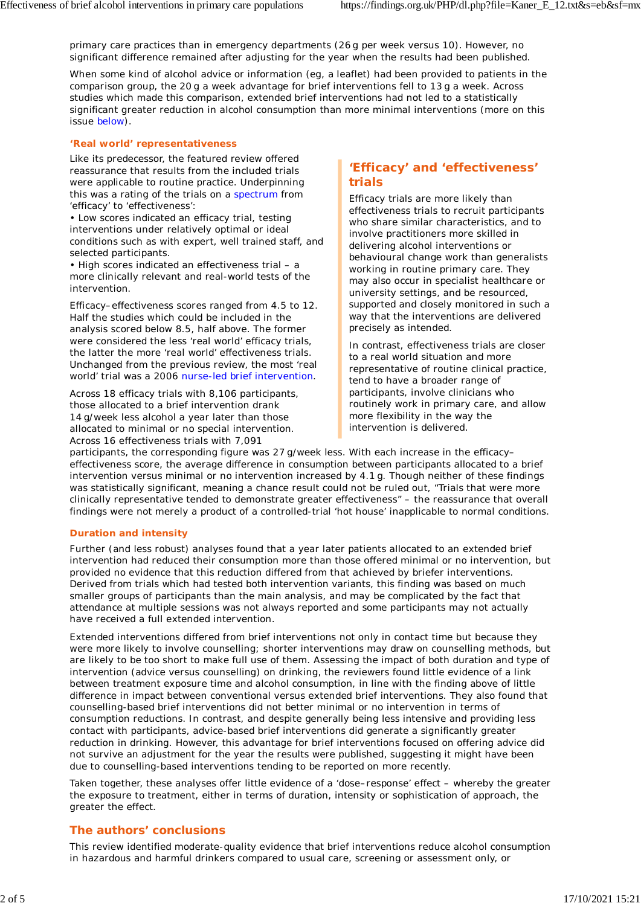primary care practices than in emergency departments (26 g per week versus 10). However, no significant difference remained after adjusting for the year when the results had been published.

When some kind of alcohol advice or information (eg, a leaflet) had been provided to patients in the comparison group, the 20 g a week advantage for brief interventions fell to 13 g a week. Across studies which made this comparison, extended brief interventions had not led to a statistically significant greater reduction in alcohol consumption than more minimal interventions (more on this issue below).

#### **'Real world' representativeness**

Like its predecessor, the featured review offered reassurance that results from the included trials were applicable to routine practice. Underpinning this was a rating of the trials on a spectrum from 'efficacy' to 'effectiveness':

• Low scores indicated an efficacy trial, testing interventions under relatively optimal or ideal conditions such as with expert, well trained staff, and selected participants.

• High scores indicated an effectiveness trial – a more clinically relevant and real-world tests of the intervention.

Efficacy–effectiveness scores ranged from 4.5 to 12. Half the studies which could be included in the analysis scored below 8.5, half above. The former were considered the less 'real world' efficacy trials, the latter the more 'real world' effectiveness trials. Unchanged from the previous review, the most 'real world' trial was a 2006 nurse-led brief intervention.

Across 18 efficacy trials with 8,106 participants, those allocated to a brief intervention drank 14 g/week less alcohol a year later than those allocated to minimal or no special intervention. Across 16 effectiveness trials with 7,091

## **'Efficacy' and 'effectiveness' trials**

Efficacy trials are more likely than effectiveness trials to recruit participants who share similar characteristics, and to involve practitioners more skilled in delivering alcohol interventions or behavioural change work than generalists working in routine primary care. They may also occur in specialist healthcare or university settings, and be resourced, supported and closely monitored in such a way that the interventions are delivered precisely as intended.

In contrast, effectiveness trials are closer to a real world situation and more representative of routine clinical practice, tend to have a broader range of participants, involve clinicians who routinely work in primary care, and allow more flexibility in the way the intervention is delivered.

participants, the corresponding figure was 27 g/week less. With each increase in the efficacy– effectiveness score, the average difference in consumption between participants allocated to a brief intervention versus minimal or no intervention increased by 4.1 g. Though neither of these findings was statistically significant, meaning a chance result could not be ruled out, "Trials that were more clinically representative tended to demonstrate greater effectiveness" – the reassurance that overall findings were not merely a product of a controlled-trial 'hot house' inapplicable to normal conditions.

#### **Duration and intensity**

Further (and less robust) analyses found that a year later patients allocated to an extended brief intervention had reduced their consumption more than those offered minimal or no intervention, but provided no evidence that this reduction differed from that achieved by briefer interventions. Derived from trials which had tested both intervention variants, this finding was based on much smaller groups of participants than the main analysis, and may be complicated by the fact that attendance at multiple sessions was not always reported and some participants may not actually have received a full extended intervention.

Extended interventions differed from brief interventions not only in contact time but because they were more likely to involve counselling; shorter interventions may draw on counselling methods, but are likely to be too short to make full use of them. Assessing the impact of both duration and type of intervention (advice versus counselling) on drinking, the reviewers found little evidence of a link between treatment exposure time and alcohol consumption, in line with the finding above of little difference in impact between conventional versus extended brief interventions. They also found that counselling-based brief interventions did not better minimal or no intervention in terms of consumption reductions. In contrast, and despite generally being less intensive and providing less contact with participants, advice-based brief interventions did generate a significantly greater reduction in drinking. However, this advantage for brief interventions focused on offering advice did not survive an adjustment for the year the results were published, suggesting it might have been due to counselling-based interventions tending to be reported on more recently.

Taken together, these analyses offer little evidence of a 'dose–response' effect – whereby the greater the exposure to treatment, either in terms of duration, intensity or sophistication of approach, the greater the effect.

#### **The authors' conclusions**

This review identified moderate-quality evidence that brief interventions reduce alcohol consumption in hazardous and harmful drinkers compared to usual care, screening or assessment only, or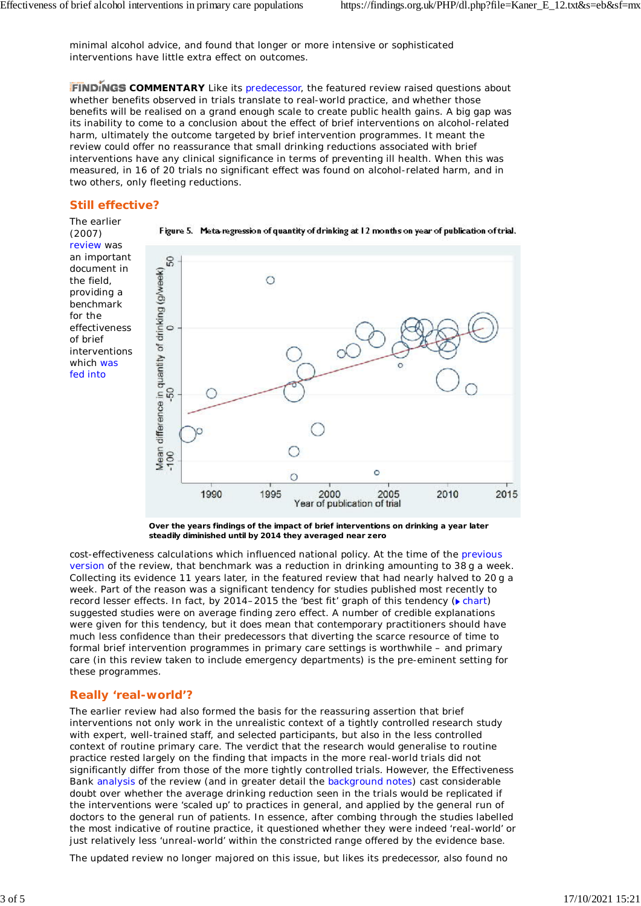minimal alcohol advice, and found that longer or more intensive or sophisticated interventions have little extra effect on outcomes.

**FINDINGS** COMMENTARY Like its predecessor, the featured review raised questions about whether benefits observed in trials translate to real-world practice, and whether those benefits will be realised on a grand enough scale to create public health gains. A big gap was its inability to come to a conclusion about the effect of brief interventions on alcohol-related harm, ultimately the outcome targeted by brief intervention programmes. It meant the review could offer no reassurance that small drinking reductions associated with brief interventions have any clinical significance in terms of preventing ill health. When this was measured, in 16 of 20 trials no significant effect was found on alcohol-related harm, and in two others, only fleeting reductions.

### **Still effective?**

The earlier (2007) review was an important document in the field, providing a benchmark for the effectiveness of brief interventions which was fed into



**Over the years findings of the impact of brief interventions on drinking a year later steadily diminished until by 2014 they averaged near zero**

cost-effectiveness calculations which influenced national policy. At the time of the previous version of the review, that benchmark was a reduction in drinking amounting to 38 g a week. Collecting its evidence 11 years later, in the featured review that had nearly halved to 20 g a week. Part of the reason was a significant tendency for studies published most recently to record lesser effects. In fact, by 2014–2015 the 'best fit' graph of this tendency ( $\blacktriangleright$  chart) suggested studies were on average finding zero effect. A number of credible explanations were given for this tendency, but it does mean that contemporary practitioners should have much less confidence than their predecessors that diverting the scarce resource of time to formal brief intervention programmes in primary care settings is worthwhile – and primary care (in this review taken to include emergency departments) is the pre-eminent setting for these programmes.

# **Really 'real-world'?**

The earlier review had also formed the basis for the reassuring assertion that brief interventions not only work in the unrealistic context of a tightly controlled research study with expert, well-trained staff, and selected participants, but also in the less controlled context of routine primary care. The verdict that the research *would* generalise to routine practice rested largely on the finding that impacts in the more real-world trials did not significantly differ from those of the more tightly controlled trials. However, the Effectiveness Bank analysis of the review (and in greater detail the background notes) cast considerable doubt over whether the average drinking reduction seen in the trials would be replicated if the interventions were 'scaled up' to practices in general, and applied by the general run of doctors to the general run of patients. In essence, after combing through the studies labelled the most indicative of routine practice, it questioned whether they were indeed 'real-world' or just relatively less 'unreal-world' within the constricted range offered by the evidence base.

The updated review no longer majored on this issue, but likes its predecessor, also found no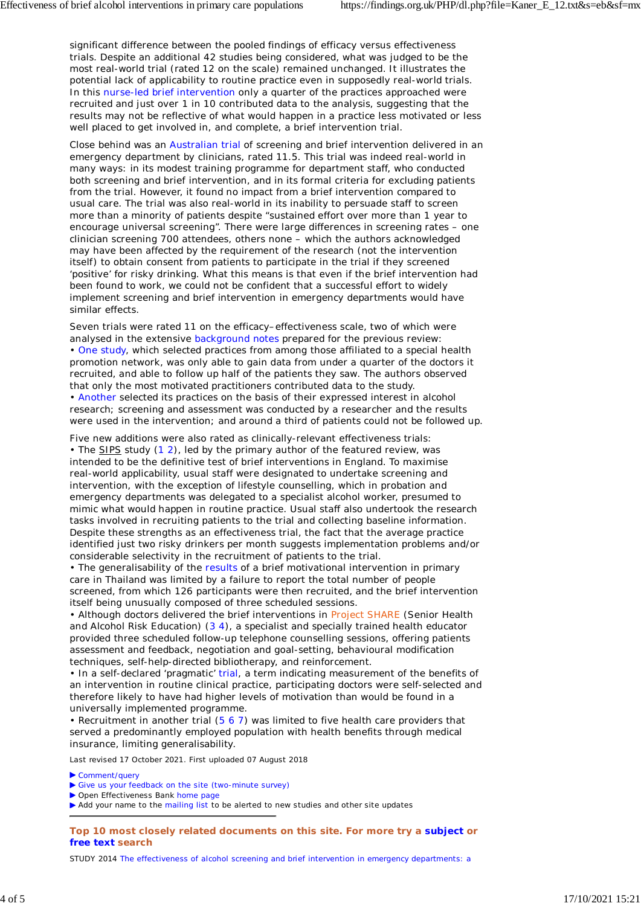significant difference between the pooled findings of efficacy versus effectiveness trials. Despite an additional 42 studies being considered, what was judged to be the most real-world trial (rated 12 on the scale) remained unchanged. It illustrates the potential lack of applicability to routine practice even in supposedly real-world trials. In this nurse-led brief intervention only a quarter of the practices approached were recruited and just over 1 in 10 contributed data to the analysis, suggesting that the results may not be reflective of what would happen in a practice less motivated or less well placed to get involved in, and complete, a brief intervention trial.

Close behind was an Australian trial of screening and brief intervention delivered in an emergency department by clinicians, rated 11.5. This trial was indeed real-world in many ways: in its modest training programme for department staff, who conducted both screening and brief intervention, and in its formal criteria for excluding patients from the trial. However, it found no impact from a brief intervention compared to usual care. The trial was also real-world in its inability to persuade staff to screen more than a minority of patients despite "sustained effort over more than 1 year to encourage universal screening". There were large differences in screening rates – one clinician screening 700 attendees, others none – which the authors acknowledged may have been affected by the requirement of the research (not the intervention itself) to obtain consent from patients to participate in the trial if they screened 'positive' for risky drinking. What this means is that even if the brief intervention had been found to work, we could not be confident that a successful effort to widely implement screening and brief intervention in emergency departments would have similar effects.

Seven trials were rated 11 on the efficacy–effectiveness scale, two of which were analysed in the extensive background notes prepared for the previous review: • One study, which selected practices from among those affiliated to a special health promotion network, was only able to gain data from under a quarter of the doctors it recruited, and able to follow up half of the patients they saw. The authors observed that only the most motivated practitioners contributed data to the study. • Another selected its practices on the basis of their expressed interest in alcohol research; screening and assessment was conducted by a researcher and the results were used in the intervention; and around a third of patients could not be followed up.

Five new additions were also rated as clinically-relevant effectiveness trials: • The SIPS study (1 2), led by the primary author of the featured review, was intended to be the definitive test of brief interventions in England. To maximise real-world applicability, usual staff were designated to undertake screening and intervention, with the exception of lifestyle counselling, which in probation and emergency departments was delegated to a specialist alcohol worker, presumed to mimic what would happen in routine practice. Usual staff also undertook the research tasks involved in recruiting patients to the trial and collecting baseline information. Despite these strengths as an effectiveness trial, the fact that the average practice identified just two risky drinkers per month suggests implementation problems and/or considerable selectivity in the recruitment of patients to the trial.

• The generalisability of the results of a brief motivational intervention in primary care in Thailand was limited by a failure to report the total number of people screened, from which 126 participants were then recruited, and the brief intervention itself being unusually composed of three scheduled sessions.

• Although doctors delivered the brief interventions in Project SHARE (Senior Health and Alcohol Risk Education) (3 4), a specialist and specially trained health educator provided three scheduled follow-up telephone counselling sessions, offering patients assessment and feedback, negotiation and goal-setting, behavioural modification techniques, self-help-directed bibliotherapy, and reinforcement.

• In a self-declared 'pragmatic' trial, a term indicating measurement of the benefits of an intervention in routine clinical practice, participating doctors were self-selected and therefore likely to have had higher levels of motivation than would be found in a universally implemented programme.

• Recruitment in another trial (5 6 7) was limited to five health care providers that served a predominantly employed population with health benefits through medical insurance, limiting generalisability.

Last revised 17 October 2021. First uploaded 07 August 2018

▶ Comment/query

- Give us your feedback on the site (two-minute survey)
- ▶ Open Effectiveness Bank home page

Add your name to the mailing list to be alerted to new studies and other site updates

**Top 10 most closely related documents on this site. For more try a subject or free text search**

STUDY 2014 The effectiveness of alcohol screening and brief intervention in emergency departments: a